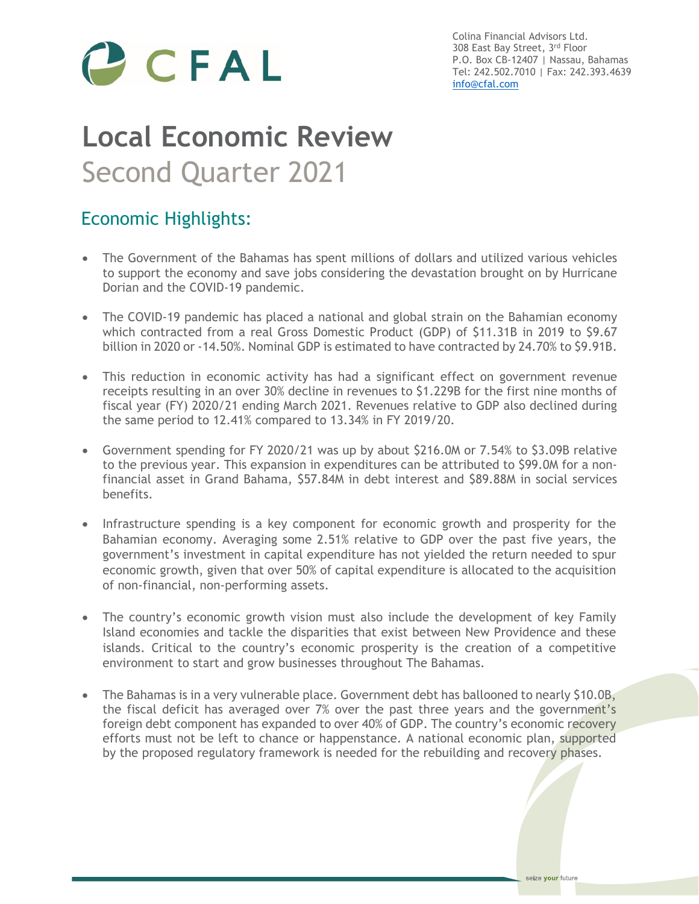

Colina Financial Advisors Ltd. 308 East Bay Street, 3rd Floor P.O. Box CB-12407 | Nassau, Bahamas Tel: 242.502.7010 | Fax: 242.393.4639 [info@cfal.com](mailto:info@cfal.com)

# **Local Economic Review** Second Quarter 2021

## Economic Highlights:

- The Government of the Bahamas has spent millions of dollars and utilized various vehicles to support the economy and save jobs considering the devastation brought on by Hurricane Dorian and the COVID-19 pandemic.
- The COVID-19 pandemic has placed a national and global strain on the Bahamian economy which contracted from a real Gross Domestic Product (GDP) of \$11.31B in 2019 to \$9.67 billion in 2020 or -14.50%. Nominal GDP is estimated to have contracted by 24.70% to \$9.91B.
- This reduction in economic activity has had a significant effect on government revenue receipts resulting in an over 30% decline in revenues to \$1.229B for the first nine months of fiscal year (FY) 2020/21 ending March 2021. Revenues relative to GDP also declined during the same period to 12.41% compared to 13.34% in FY 2019/20.
- Government spending for FY 2020/21 was up by about \$216.0M or 7.54% to \$3.09B relative to the previous year. This expansion in expenditures can be attributed to \$99.0M for a nonfinancial asset in Grand Bahama, \$57.84M in debt interest and \$89.88M in social services benefits.
- Infrastructure spending is a key component for economic growth and prosperity for the Bahamian economy. Averaging some 2.51% relative to GDP over the past five years, the government's investment in capital expenditure has not yielded the return needed to spur economic growth, given that over 50% of capital expenditure is allocated to the acquisition of non-financial, non-performing assets.
- The country's economic growth vision must also include the development of key Family Island economies and tackle the disparities that exist between New Providence and these islands. Critical to the country's economic prosperity is the creation of a competitive environment to start and grow businesses throughout The Bahamas.
- The Bahamas is in a very vulnerable place. Government debt has ballooned to nearly \$10.0B, the fiscal deficit has averaged over 7% over the past three years and the government's foreign debt component has expanded to over 40% of GDP. The country's economic recovery efforts must not be left to chance or happenstance. A national economic plan, supported by the proposed regulatory framework is needed for the rebuilding and recovery phases.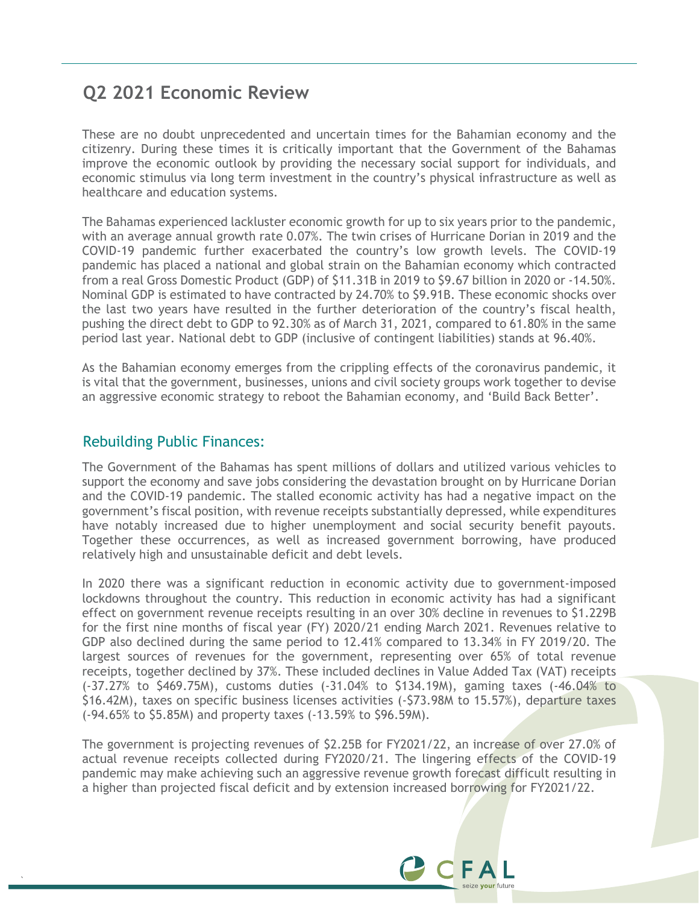## **Q2 2021 Economic Review**

These are no doubt unprecedented and uncertain times for the Bahamian economy and the citizenry. During these times it is critically important that the Government of the Bahamas improve the economic outlook by providing the necessary social support for individuals, and economic stimulus via long term investment in the country's physical infrastructure as well as healthcare and education systems.

The Bahamas experienced lackluster economic growth for up to six years prior to the pandemic, with an average annual growth rate 0.07%. The twin crises of Hurricane Dorian in 2019 and the COVID-19 pandemic further exacerbated the country's low growth levels. The COVID-19 pandemic has placed a national and global strain on the Bahamian economy which contracted from a real Gross Domestic Product (GDP) of \$11.31B in 2019 to \$9.67 billion in 2020 or -14.50%. Nominal GDP is estimated to have contracted by 24.70% to \$9.91B. These economic shocks over the last two years have resulted in the further deterioration of the country's fiscal health, pushing the direct debt to GDP to 92.30% as of March 31, 2021, compared to 61.80% in the same period last year. National debt to GDP (inclusive of contingent liabilities) stands at 96.40%.

As the Bahamian economy emerges from the crippling effects of the coronavirus pandemic, it is vital that the government, businesses, unions and civil society groups work together to devise an aggressive economic strategy to reboot the Bahamian economy, and 'Build Back Better'.

#### Rebuilding Public Finances:

`

The Government of the Bahamas has spent millions of dollars and utilized various vehicles to support the economy and save jobs considering the devastation brought on by Hurricane Dorian and the COVID-19 pandemic. The stalled economic activity has had a negative impact on the government's fiscal position, with revenue receipts substantially depressed, while expenditures have notably increased due to higher unemployment and social security benefit payouts. Together these occurrences, as well as increased government borrowing, have produced relatively high and unsustainable deficit and debt levels.

In 2020 there was a significant reduction in economic activity due to government-imposed lockdowns throughout the country. This reduction in economic activity has had a significant effect on government revenue receipts resulting in an over 30% decline in revenues to \$1.229B for the first nine months of fiscal year (FY) 2020/21 ending March 2021. Revenues relative to GDP also declined during the same period to 12.41% compared to 13.34% in FY 2019/20. The largest sources of revenues for the government, representing over 65% of total revenue receipts, together declined by 37%. These included declines in Value Added Tax (VAT) receipts (-37.27% to \$469.75M), customs duties (-31.04% to \$134.19M), gaming taxes (-46.04% to \$16.42M), taxes on specific business licenses activities (-\$73.98M to 15.57%), departure taxes (-94.65% to \$5.85M) and property taxes (-13.59% to \$96.59M).

The government is projecting revenues of \$2.25B for FY2021/22, an increase of over 27.0% of actual revenue receipts collected during FY2020/21. The lingering effects of the COVID-19 pandemic may make achieving such an aggressive revenue growth forecast difficult resulting in a higher than projected fiscal deficit and by extension increased borrowing for FY2021/22.

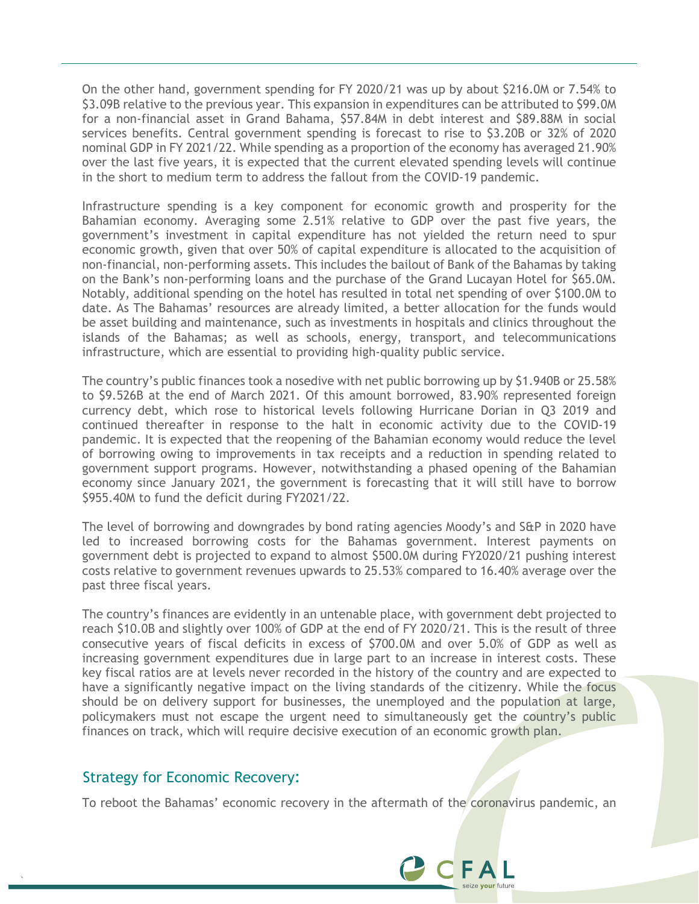On the other hand, government spending for FY 2020/21 was up by about \$216.0M or 7.54% to \$3.09B relative to the previous year. This expansion in expenditures can be attributed to \$99.0M for a non-financial asset in Grand Bahama, \$57.84M in debt interest and \$89.88M in social services benefits. Central government spending is forecast to rise to \$3.20B or 32% of 2020 nominal GDP in FY 2021/22. While spending as a proportion of the economy has averaged 21.90% over the last five years, it is expected that the current elevated spending levels will continue in the short to medium term to address the fallout from the COVID-19 pandemic.

Infrastructure spending is a key component for economic growth and prosperity for the Bahamian economy. Averaging some 2.51% relative to GDP over the past five years, the government's investment in capital expenditure has not yielded the return need to spur economic growth, given that over 50% of capital expenditure is allocated to the acquisition of non-financial, non-performing assets. This includes the bailout of Bank of the Bahamas by taking on the Bank's non-performing loans and the purchase of the Grand Lucayan Hotel for \$65.0M. Notably, additional spending on the hotel has resulted in total net spending of over \$100.0M to date. As The Bahamas' resources are already limited, a better allocation for the funds would be asset building and maintenance, such as investments in hospitals and clinics throughout the islands of the Bahamas; as well as schools, energy, transport, and telecommunications infrastructure, which are essential to providing high-quality public service.

The country's public finances took a nosedive with net public borrowing up by \$1.940B or 25.58% to \$9.526B at the end of March 2021. Of this amount borrowed, 83.90% represented foreign currency debt, which rose to historical levels following Hurricane Dorian in Q3 2019 and continued thereafter in response to the halt in economic activity due to the COVID-19 pandemic. It is expected that the reopening of the Bahamian economy would reduce the level of borrowing owing to improvements in tax receipts and a reduction in spending related to government support programs. However, notwithstanding a phased opening of the Bahamian economy since January 2021, the government is forecasting that it will still have to borrow \$955.40M to fund the deficit during FY2021/22.

The level of borrowing and downgrades by bond rating agencies Moody's and S&P in 2020 have led to increased borrowing costs for the Bahamas government. Interest payments on government debt is projected to expand to almost \$500.0M during FY2020/21 pushing interest costs relative to government revenues upwards to 25.53% compared to 16.40% average over the past three fiscal years.

The country's finances are evidently in an untenable place, with government debt projected to reach \$10.0B and slightly over 100% of GDP at the end of FY 2020/21. This is the result of three consecutive years of fiscal deficits in excess of \$700.0M and over 5.0% of GDP as well as increasing government expenditures due in large part to an increase in interest costs. These key fiscal ratios are at levels never recorded in the history of the country and are expected to have a significantly negative impact on the living standards of the citizenry. While the focus should be on delivery support for businesses, the unemployed and the population at large, policymakers must not escape the urgent need to simultaneously get the country's public finances on track, which will require decisive execution of an economic growth plan.

#### Strategy for Economic Recovery:

`

To reboot the Bahamas' economic recovery in the aftermath of the coronavirus pandemic, an

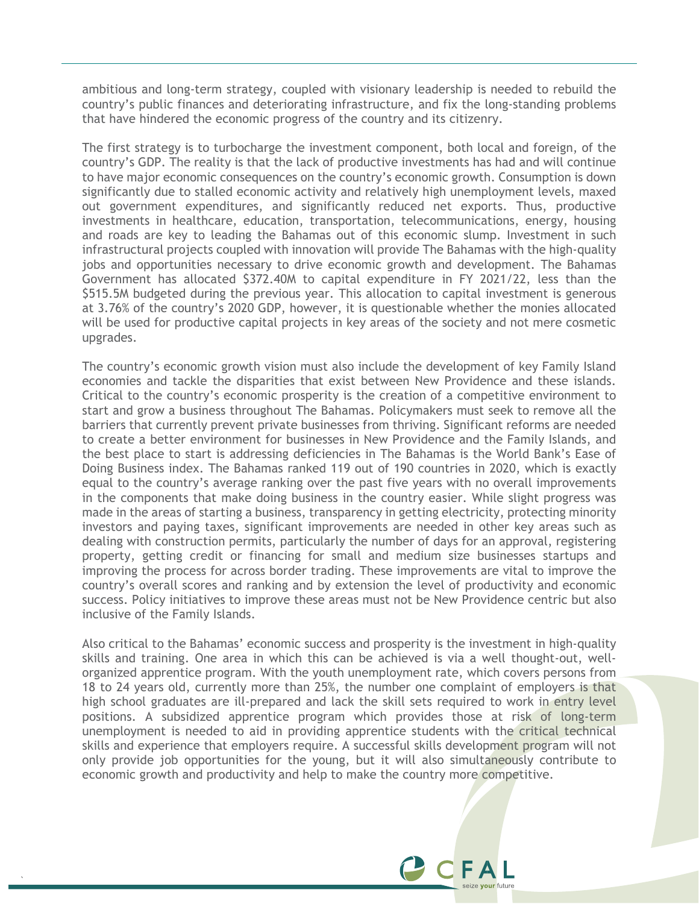ambitious and long-term strategy, coupled with visionary leadership is needed to rebuild the country's public finances and deteriorating infrastructure, and fix the long-standing problems that have hindered the economic progress of the country and its citizenry.

The first strategy is to turbocharge the investment component, both local and foreign, of the country's GDP. The reality is that the lack of productive investments has had and will continue to have major economic consequences on the country's economic growth. Consumption is down significantly due to stalled economic activity and relatively high unemployment levels, maxed out government expenditures, and significantly reduced net exports. Thus, productive investments in healthcare, education, transportation, telecommunications, energy, housing and roads are key to leading the Bahamas out of this economic slump. Investment in such infrastructural projects coupled with innovation will provide The Bahamas with the high-quality jobs and opportunities necessary to drive economic growth and development. The Bahamas Government has allocated \$372.40M to capital expenditure in FY 2021/22, less than the \$515.5M budgeted during the previous year. This allocation to capital investment is generous at 3.76% of the country's 2020 GDP, however, it is questionable whether the monies allocated will be used for productive capital projects in key areas of the society and not mere cosmetic upgrades.

The country's economic growth vision must also include the development of key Family Island economies and tackle the disparities that exist between New Providence and these islands. Critical to the country's economic prosperity is the creation of a competitive environment to start and grow a business throughout The Bahamas. Policymakers must seek to remove all the barriers that currently prevent private businesses from thriving. Significant reforms are needed to create a better environment for businesses in New Providence and the Family Islands, and the best place to start is addressing deficiencies in The Bahamas is the World Bank's Ease of Doing Business index. The Bahamas ranked 119 out of 190 countries in 2020, which is exactly equal to the country's average ranking over the past five years with no overall improvements in the components that make doing business in the country easier. While slight progress was made in the areas of starting a business, transparency in getting electricity, protecting minority investors and paying taxes, significant improvements are needed in other key areas such as dealing with construction permits, particularly the number of days for an approval, registering property, getting credit or financing for small and medium size businesses startups and improving the process for across border trading. These improvements are vital to improve the country's overall scores and ranking and by extension the level of productivity and economic success. Policy initiatives to improve these areas must not be New Providence centric but also inclusive of the Family Islands.

Also critical to the Bahamas' economic success and prosperity is the investment in high-quality skills and training. One area in which this can be achieved is via a well thought-out, wellorganized apprentice program. With the youth unemployment rate, which covers persons from 18 to 24 years old, currently more than 25%, the number one complaint of employers is that high school graduates are ill-prepared and lack the skill sets required to work in entry level positions. A subsidized apprentice program which provides those at risk of long-term unemployment is needed to aid in providing apprentice students with the critical technical skills and experience that employers require. A successful skills development program will not only provide job opportunities for the young, but it will also simultaneously contribute to economic growth and productivity and help to make the country more competitive.

`